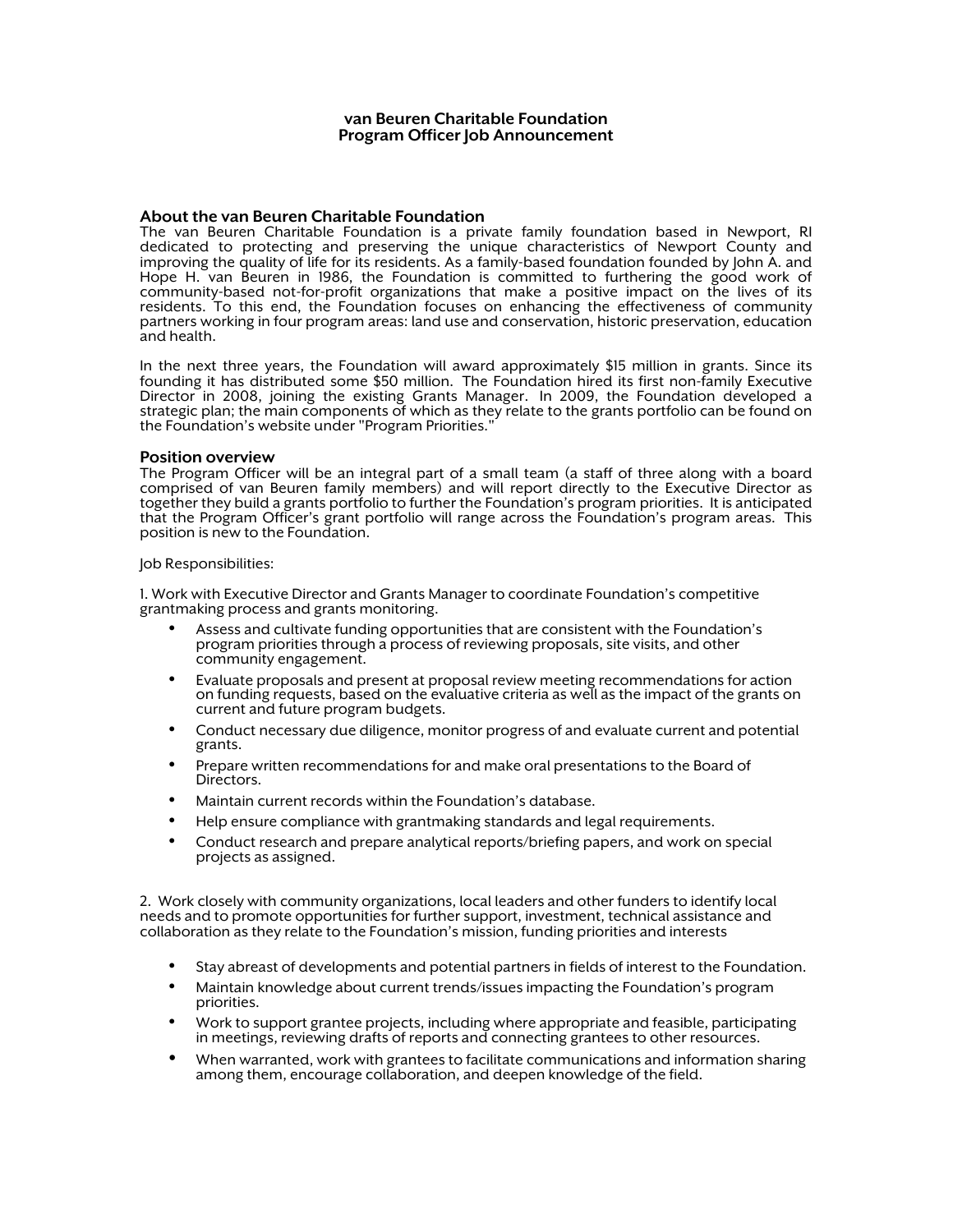#### van Beuren Charitable Foundation Program Officer Job Announcement

#### About the van Beuren Charitable Foundation

The van Beuren Charitable Foundation is a private family foundation based in Newport, RI dedicated to protecting and preserving the unique characteristics of Newport County and improving the quality of life for its residents. As a family-based foundation founded by John A. and Hope H. van Beuren in 1986, the Foundation is committed to furthering the good work of community-based not-for-profit organizations that make a positive impact on the lives of its residents. To this end, the Foundation focuses on enhancing the effectiveness of community partners working in four program areas: land use and conservation, historic preservation, education and health.

In the next three years, the Foundation will award approximately \$15 million in grants. Since its founding it has distributed some \$50 million. The Foundation hired its first non-family Executive Director in 2008, joining the existing Grants Manager. In 2009, the Foundation developed a strategic plan; the main components of which as they relate to the grants portfolio can be found on the Foundation's website under "Program Priorities."

#### Position overview

The Program Officer will be an integral part of a small team (a staff of three along with a board<br>comprised of van Beuren family members) and will report directly to the Executive Director as together they build a grants portfolio to further the Foundation's program priorities. It is anticipated that the Program Officer's grant portfolio will range across the Foundation's program areas. This position is new to the Foundation.

#### Job Responsibilities:

1. Work with Executive Director and Grants Manager to coordinate Foundation's competitive grantmaking process and grants monitoring.

- Assess and cultivate funding opportunities that are consistent with the Foundation's program priorities through a process of reviewing proposals, site visits, and other community engagement.
- Evaluate proposals and present at proposal review meeting recommendations for action on funding requests, based on the evaluative criteria as well as the impact of the grants on current and future program budgets.
- Conduct necessary due diligence, monitor progress of and evaluate current and potential grants.
- Prepare written recommendations for and make oral presentations to the Board of Directors.
- Maintain current records within the Foundation's database.
- Help ensure compliance with grantmaking standards and legal requirements.
- Conduct research and prepare analytical reports/briefing papers, and work on special projects as assigned.

2. Work closely with community organizations, local leaders and other funders to identify local needs and to promote opportunities for further support, investment, technical assistance and collaboration as they relate to the Foundation's mission, funding priorities and interests

- Stay abreast of developments and potential partners in fields of interest to the Foundation.
- Maintain knowledge about current trends/issues impacting the Foundation's program priorities.
- Work to support grantee projects, including where appropriate and feasible, participating in meetings, reviewing drafts of reports and connecting grantees to other resources.
- When warranted, work with grantees to facilitate communications and information sharing among them, encourage collaboration, and deepen knowledge of the field.